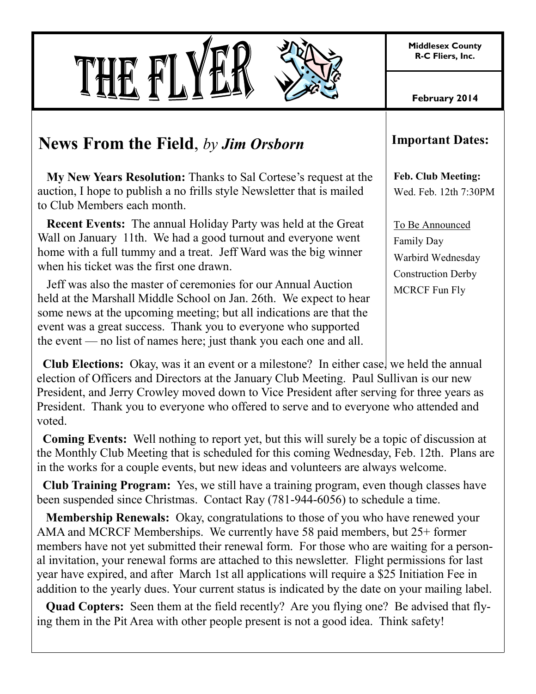**Middlesex County R-C Fliers, Inc.**



**February 2014**

## **News From the Field**, *by Jim Orsborn*

 **My New Years Resolution:** Thanks to Sal Cortese's request at the auction, I hope to publish a no frills style Newsletter that is mailed to Club Members each month.

 **Recent Events:** The annual Holiday Party was held at the Great Wall on January 11th. We had a good turnout and everyone went home with a full tummy and a treat. Jeff Ward was the big winner when his ticket was the first one drawn.

 Jeff was also the master of ceremonies for our Annual Auction held at the Marshall Middle School on Jan. 26th. We expect to hear some news at the upcoming meeting; but all indications are that the event was a great success. Thank you to everyone who supported the event — no list of names here; just thank you each one and all.

**Club Elections:** Okay, was it an event or a milestone? In either case, we held the annual election of Officers and Directors at the January Club Meeting. Paul Sullivan is our new President, and Jerry Crowley moved down to Vice President after serving for three years as President. Thank you to everyone who offered to serve and to everyone who attended and voted.

 **Coming Events:** Well nothing to report yet, but this will surely be a topic of discussion at the Monthly Club Meeting that is scheduled for this coming Wednesday, Feb. 12th. Plans are in the works for a couple events, but new ideas and volunteers are always welcome.

 **Club Training Program:** Yes, we still have a training program, even though classes have been suspended since Christmas. Contact Ray (781-944-6056) to schedule a time.

 **Membership Renewals:** Okay, congratulations to those of you who have renewed your AMA and MCRCF Memberships. We currently have 58 paid members, but 25+ former members have not yet submitted their renewal form. For those who are waiting for a personal invitation, your renewal forms are attached to this newsletter. Flight permissions for last year have expired, and after March 1st all applications will require a \$25 Initiation Fee in addition to the yearly dues. Your current status is indicated by the date on your mailing label.

 **Quad Copters:** Seen them at the field recently? Are you flying one? Be advised that flying them in the Pit Area with other people present is not a good idea. Think safety!

## **Important Dates:**

**Feb. Club Meeting:** Wed. Feb. 12th 7:30PM

To Be Announced Family Day Warbird Wednesday Construction Derby MCRCF Fun Fly